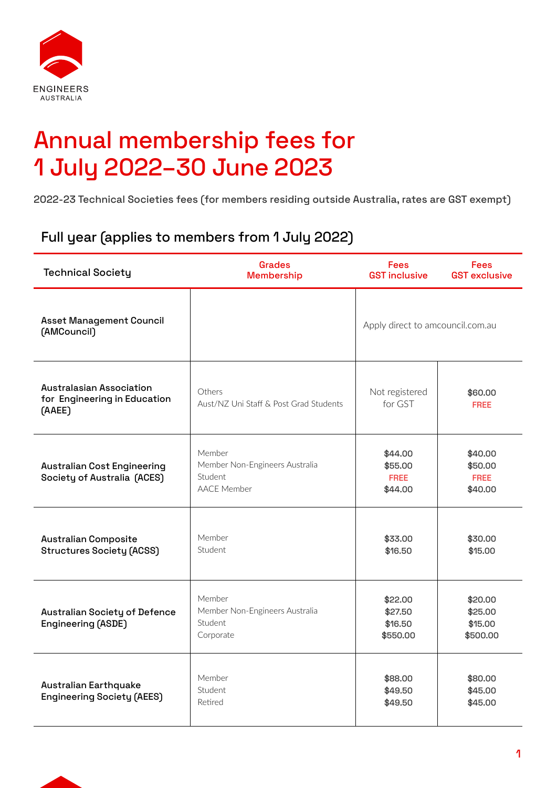

# Annual membership fees for 1 July 2022–30 June 2023

2022-23 Technical Societies fees (for members residing outside Australia, rates are GST exempt)

| <b>Technical Society</b>                                           | <b>Grades</b><br><b>Membership</b>                                               | <b>Fees</b><br><b>GST inclusive</b>          | <b>Fees</b><br><b>GST exclusive</b>          |
|--------------------------------------------------------------------|----------------------------------------------------------------------------------|----------------------------------------------|----------------------------------------------|
| <b>Asset Management Council</b><br>(AMCouncil)                     |                                                                                  | Apply direct to amcouncil.com.au             |                                              |
| Australasian Association<br>for Engineering in Education<br>(AAEE) | Others<br>Aust/N7 Uni Staff & Post Grad Students                                 | Not registered<br>for GST                    | \$60.00<br><b>FREE</b>                       |
| <b>Australian Cost Engineering</b><br>Society of Australia (ACES)  | Member<br>Member Non-Engineers Australia<br><b>Student</b><br><b>AACE Member</b> | \$44.00<br>\$55.00<br><b>FREE</b><br>\$44.00 | \$40.00<br>\$50.00<br><b>FREE</b><br>\$40.00 |
| <b>Australian Composite</b><br><b>Structures Society (ACSS)</b>    | Member<br>Student                                                                | \$33.00<br>\$16.50                           | \$30.00<br>\$15.00                           |
| Australian Society of Defence<br>Engineering (ASDE)                | Member<br>Member Non-Engineers Australia<br>Student<br>Corporate                 | \$22.00<br>\$27.50<br>\$16.50<br>\$550.00    | \$20.00<br>\$25.00<br>\$15.00<br>\$500.00    |
| <b>Australian Earthquake</b><br><b>Engineering Society (AEES)</b>  | Member<br>Student<br>Retired                                                     | \$88.00<br>\$49.50<br>\$49.50                | \$80.00<br>\$45.00<br>\$45.00                |

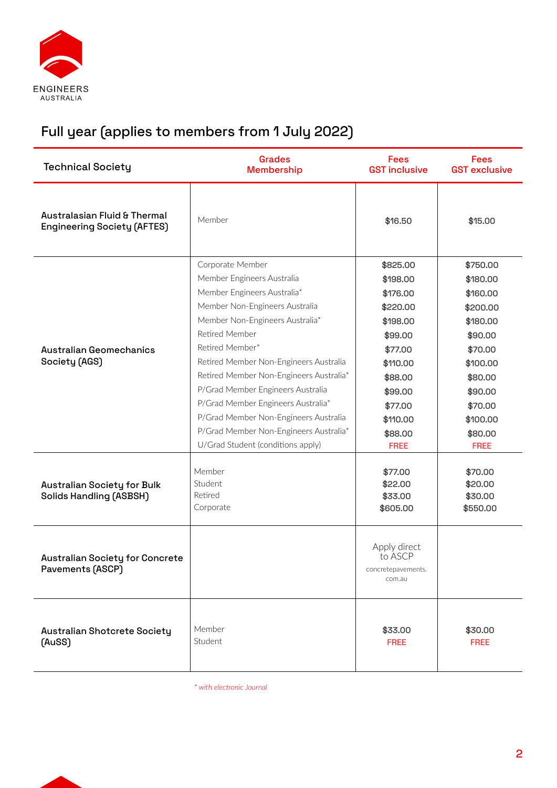

| <b>Technical Society</b>                                           | <b>Grades</b><br><b>Membership</b>                                                                                                                                                                                                                                                                                                                                                                                                                                              | <b>Fees</b><br><b>GST inclusive</b>                                                                                                                               | <b>Fees</b><br><b>GST exclusive</b>                                                                                                                               |
|--------------------------------------------------------------------|---------------------------------------------------------------------------------------------------------------------------------------------------------------------------------------------------------------------------------------------------------------------------------------------------------------------------------------------------------------------------------------------------------------------------------------------------------------------------------|-------------------------------------------------------------------------------------------------------------------------------------------------------------------|-------------------------------------------------------------------------------------------------------------------------------------------------------------------|
| Australasian Fluid & Thermal<br><b>Engineering Society (AFTES)</b> | Member                                                                                                                                                                                                                                                                                                                                                                                                                                                                          | \$16.50                                                                                                                                                           | \$15.00                                                                                                                                                           |
| <b>Australian Geomechanics</b><br>Society (AGS)                    | Corporate Member<br>Member Engineers Australia<br>Member Engineers Australia*<br>Member Non-Engineers Australia<br>Member Non-Engineers Australia*<br>Retired Member<br>Retired Member*<br>Retired Member Non-Engineers Australia<br>Retired Member Non-Engineers Australia*<br>P/Grad Member Engineers Australia<br>P/Grad Member Engineers Australia*<br>P/Grad Member Non-Engineers Australia<br>P/Grad Member Non-Engineers Australia*<br>U/Grad Student (conditions apply) | \$825.00<br>\$198.00<br>\$176.00<br>\$220.00<br>\$198.00<br>\$99.00<br>\$77.00<br>\$110.00<br>\$88.00<br>\$99.00<br>\$77.00<br>\$110.00<br>\$88.00<br><b>FREE</b> | \$750.00<br>\$180.00<br>\$160.00<br>\$200.00<br>\$180.00<br>\$90.00<br>\$70.00<br>\$100.00<br>\$80.00<br>\$90.00<br>\$70.00<br>\$100.00<br>\$80.00<br><b>FREE</b> |
| <b>Australian Society for Bulk</b><br>Solids Handling (ASBSH)      | Member<br>Student<br>Retired<br>Corporate                                                                                                                                                                                                                                                                                                                                                                                                                                       | \$77.00<br>\$22.00<br>\$33.00<br>\$605.00                                                                                                                         | \$70.00<br>\$20.00<br>\$30.00<br>\$550.00                                                                                                                         |
| <b>Australian Society for Concrete</b><br>Pavements (ASCP)         |                                                                                                                                                                                                                                                                                                                                                                                                                                                                                 | Apply direct<br>to ASCP<br>concretepavements.<br>com.au                                                                                                           |                                                                                                                                                                   |
| Australian Shotcrete Society<br>(AuSS)                             | Member<br>Student                                                                                                                                                                                                                                                                                                                                                                                                                                                               | \$33.00<br><b>FREE</b>                                                                                                                                            | \$30.00<br><b>FREE</b>                                                                                                                                            |

*\* with electronic Journal*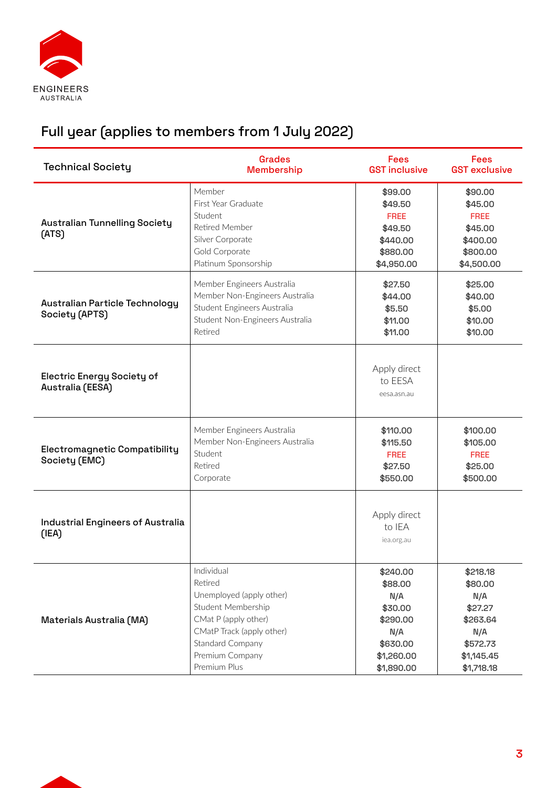

| <b>Technical Society</b>                              | <b>Grades</b><br><b>Membership</b>                                                                                                                                                  | <b>Fees</b><br><b>GST inclusive</b>                                                              | <b>Fees</b><br><b>GST exclusive</b>                                                              |
|-------------------------------------------------------|-------------------------------------------------------------------------------------------------------------------------------------------------------------------------------------|--------------------------------------------------------------------------------------------------|--------------------------------------------------------------------------------------------------|
| <b>Australian Tunnelling Society</b><br>(ATS)         | Member<br>First Year Graduate<br>Student<br>Retired Member<br>Silver Corporate<br>Gold Corporate<br>Platinum Sponsorship                                                            | \$99.00<br>\$49.50<br><b>FREE</b><br>\$49.50<br>\$440.00<br>\$880.00<br>\$4,950.00               | \$90.00<br>\$45.00<br><b>FREE</b><br>\$45.00<br>\$400.00<br>\$800.00<br>\$4,500.00               |
| Australian Particle Technology<br>Society (APTS)      | Member Engineers Australia<br>Member Non-Engineers Australia<br>Student Engineers Australia<br>Student Non-Engineers Australia<br>Retired                                           | \$27.50<br>\$44.00<br>\$5.50<br>\$11.00<br>\$11.00                                               | \$25.00<br>\$40.00<br>\$5.00<br>\$10.00<br>\$10.00                                               |
| <b>Electric Energy Society of</b><br>Australia (EESA) |                                                                                                                                                                                     | Apply direct<br>to EESA<br>eesa.asn.au                                                           |                                                                                                  |
| Electromagnetic Compatibility<br>Society (EMC)        | Member Engineers Australia<br>Member Non-Engineers Australia<br>Student<br>Retired<br>Corporate                                                                                     | \$110.00<br>\$115.50<br><b>FREE</b><br>\$27.50<br>\$550.00                                       | \$100.00<br>\$105.00<br><b>FREE</b><br>\$25.00<br>\$500.00                                       |
| Industrial Engineers of Australia<br>(IEA)            |                                                                                                                                                                                     | Apply direct<br>to IFA<br>iea.org.au                                                             |                                                                                                  |
| Materials Australia (MA)                              | Individual<br>Retired<br>Unemployed (apply other)<br>Student Membership<br>CMat P (apply other)<br>CMatP Track (apply other)<br>Standard Company<br>Premium Company<br>Premium Plus | \$240.00<br>\$88.00<br>N/A<br>\$30.00<br>\$290.00<br>N/A<br>\$630.00<br>\$1,260.00<br>\$1,890.00 | \$218.18<br>\$80.00<br>N/A<br>\$27.27<br>\$263.64<br>N/A<br>\$572.73<br>\$1,145.45<br>\$1,718.18 |

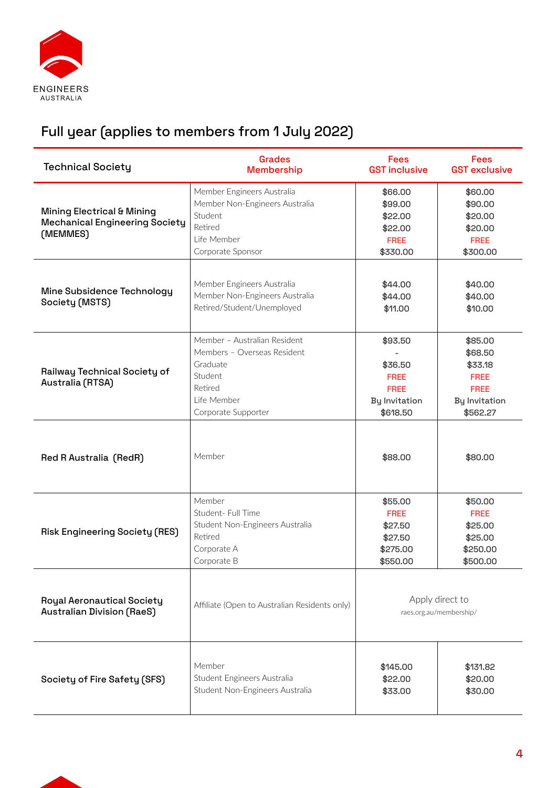

| <b>Technical Society</b>                                                                   | <b>Grades</b><br><b>Membership</b>                                                                                                  | <b>Fees</b><br><b>GST inclusive</b>                                                  | <b>Fees</b><br><b>GST exclusive</b>                                                             |
|--------------------------------------------------------------------------------------------|-------------------------------------------------------------------------------------------------------------------------------------|--------------------------------------------------------------------------------------|-------------------------------------------------------------------------------------------------|
| <b>Mining Electrical &amp; Mining</b><br><b>Mechanical Engineering Society</b><br>(MEMMES) | Member Engineers Australia<br>Member Non-Engineers Australia<br>Student<br>Retired<br>Life Member<br>Corporate Sponsor              | \$66.00<br>\$99.00<br>\$22.00<br>\$22.00<br><b>FREE</b><br>\$330.00                  | \$60.00<br>\$90.00<br>\$20.00<br>\$20.00<br><b>FREE</b><br>\$300.00                             |
| Mine Subsidence Technology<br>Society (MSTS)                                               | Member Engineers Australia<br>Member Non-Engineers Australia<br>Retired/Student/Unemployed                                          | \$44.00<br>\$44.00<br>\$11.00                                                        | \$40.00<br>\$40.00<br>\$10.00                                                                   |
| Railway Technical Society of<br>Australia (RTSA)                                           | Member - Australian Resident<br>Members - Overseas Resident<br>Graduate<br>Student<br>Retired<br>Life Member<br>Corporate Supporter | \$93.50<br>\$36.50<br><b>FREE</b><br><b>FREE</b><br><b>By Invitation</b><br>\$618.50 | \$85.00<br>\$68.50<br>\$33.18<br><b>FREE</b><br><b>FREE</b><br><b>By Invitation</b><br>\$562.27 |
| Red R Australia (RedR)                                                                     | Member                                                                                                                              | \$88.00                                                                              | \$80.00                                                                                         |
| <b>Risk Engineering Society (RES)</b>                                                      | Member<br>Student- Full Time<br>Student Non-Engineers Australia<br>Retired<br>Corporate A<br>Corporate B                            | \$55.00<br><b>FREE</b><br>\$27.50<br>\$27.50<br>\$275.00<br>\$550.00                 | \$50.00<br><b>FREE</b><br>\$25.00<br>\$25.00<br>\$250.00<br>\$500.00                            |
| <b>Royal Aeronautical Society</b><br><b>Australian Division (RaeS)</b>                     | Affiliate (Open to Australian Residents only)                                                                                       | Apply direct to<br>raes.org.au/membership/                                           |                                                                                                 |
| Society of Fire Safety (SFS)                                                               | Member<br>Student Engineers Australia<br>Student Non-Engineers Australia                                                            | \$145.00<br>\$22.00<br>\$33.00                                                       | \$131.82<br>\$20.00<br>\$30.00                                                                  |